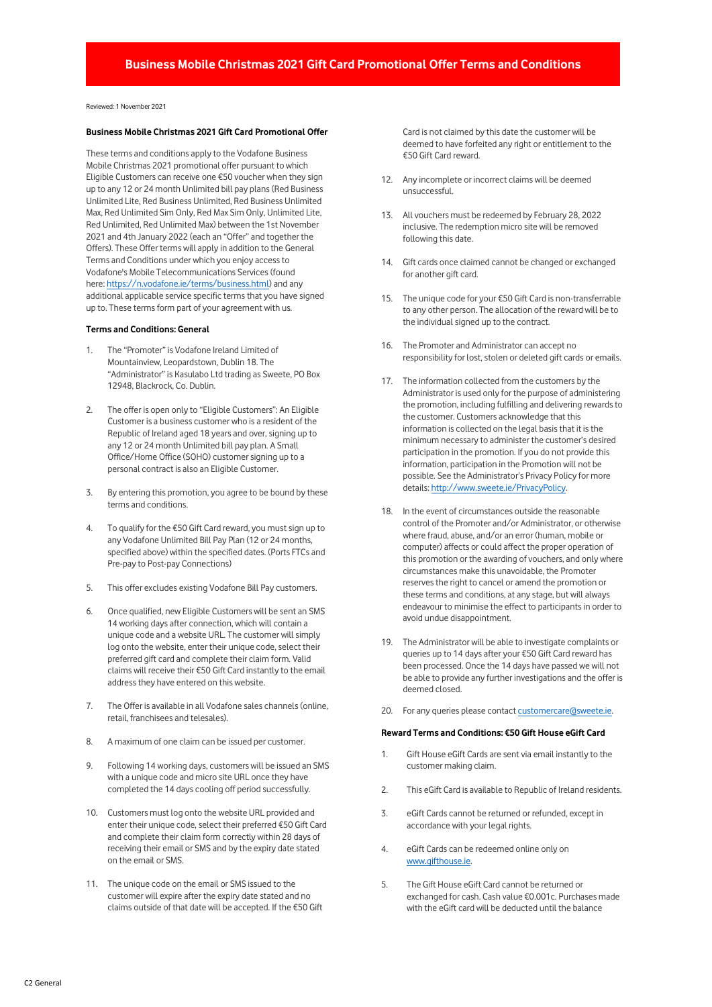# **Business Mobile Christmas 2021 Gift Card Promotional Offer Terms and Conditions**

Reviewed: 1 November 2021

### **Business Mobile Christmas 2021 Gift Card Promotional Offer**

These terms and conditions apply to the Vodafone Business Mobile Christmas 2021 promotional offer pursuant to which Eligible Customers can receive one €50 voucher when they sign up to any 12 or 24 month Unlimited bill pay plans (Red Business Unlimited Lite, Red Business Unlimited, Red Business Unlimited Max, Red Unlimited Sim Only, Red Max Sim Only, Unlimited Lite, Red Unlimited, Red Unlimited Max) between the 1st November 2021 and 4th January 2022 (each an "Offer" and together the Offers). These Offer terms will apply in addition to the General Terms and Conditions under which you enjoy access to Vodafone's Mobile Telecommunications Services (found here: [https://n.vodafone.ie/terms/business.html\)](https://n.vodafone.ie/terms/business.html) and any additional applicable service specific terms that you have signed up to. These terms form part of your agreement with us.

## **Terms and Conditions: General**

- 1. The "Promoter" is Vodafone Ireland Limited of Mountainview, Leopardstown, Dublin 18. The "Administrator" is Kasulabo Ltd trading as Sweete, PO Box 12948, Blackrock, Co. Dublin.
- 2. The offer is open only to "Eligible Customers": An Eligible Customer is a business customer who is a resident of the Republic of Ireland aged 18 years and over, signing up to any 12 or 24 month Unlimited bill pay plan. A Small Office/Home Office (SOHO) customer signing up to a personal contract is also an Eligible Customer.
- 3. By entering this promotion, you agree to be bound by these terms and conditions.
- 4. To qualify for the €50 Gift Card reward, you must sign up to any Vodafone Unlimited Bill Pay Plan (12 or 24 months, specified above) within the specified dates. (Ports FTCs and Pre-pay to Post-pay Connections)
- 5. This offer excludes existing Vodafone Bill Pay customers.
- 6. Once qualified, new Eligible Customers will be sent an SMS 14 working days after connection, which will contain a unique code and a website URL. The customer will simply log onto the website, enter their unique code, select their preferred gift card and complete their claim form. Valid claims will receive their €50 Gift Card instantly to the email address they have entered on this website.
- 7. The Offer is available in all Vodafone sales channels (online, retail, franchisees and telesales).
- 8. A maximum of one claim can be issued per customer.
- 9. Following 14 working days, customers will be issued an SMS with a unique code and micro site URL once they have completed the 14 days cooling off period successfully.
- 10. Customers must log onto the website URL provided and enter their unique code, select their preferred €50 Gift Card and complete their claim form correctly within 28 days of receiving their email or SMS and by the expiry date stated on the email or SMS.
- 11. The unique code on the email or SMS issued to the customer will expire after the expiry date stated and no claims outside of that date will be accepted. If the €50 Gift

Card is not claimed by this date the customer will be deemed to have forfeited any right or entitlement to the €50 Gift Card reward.

- 12. Any incomplete or incorrect claims will be deemed unsuccessful.
- 13. All vouchers must be redeemed by February 28, 2022 inclusive. The redemption micro site will be removed following this date.
- 14. Gift cards once claimed cannot be changed or exchanged for another gift card.
- 15. The unique code for your €50 Gift Card is non-transferrable to any other person. The allocation of the reward will be to the individual signed up to the contract.
- 16. The Promoter and Administrator can accept no responsibility for lost, stolen or deleted gift cards or emails.
- 17. The information collected from the customers by the Administrator is used only for the purpose of administering the promotion, including fulfilling and delivering rewards to the customer. Customers acknowledge that this information is collected on the legal basis that it is the minimum necessary to administer the customer's desired participation in the promotion. If you do not provide this information, participation in the Promotion will not be possible. See the Administrator's Privacy Policy for more details: [http://www.sweete.ie/PrivacyPolicy.](http://www.sweete.ie/PrivacyPolicy)
- 18. In the event of circumstances outside the reasonable control of the Promoter and/or Administrator, or otherwise where fraud, abuse, and/or an error (human, mobile or computer) affects or could affect the proper operation of this promotion or the awarding of vouchers, and only where circumstances make this unavoidable, the Promoter reserves the right to cancel or amend the promotion or these terms and conditions, at any stage, but will always endeavour to minimise the effect to participants in order to avoid undue disappointment.
- 19. The Administrator will be able to investigate complaints or queries up to 14 days after your €50 Gift Card reward has been processed. Once the 14 days have passed we will not be able to provide any further investigations and the offer is deemed closed.
- 20. For any queries please contac[t customercare@sweete.ie.](mailto:customercare@sweete.ie)

#### **Reward Terms and Conditions: €50 Gift House eGift Card**

- 1. Gift House eGift Cards are sent via email instantly to the customer making claim.
- 2. This eGift Card is available to Republic of Ireland residents.
- 3. eGift Cards cannot be returned or refunded, except in accordance with your legal rights.
- 4. eGift Cards can be redeemed online only on [www.gifthouse.ie.](http://www.gifthouse.ie/)
- 5. The Gift House eGift Card cannot be returned or exchanged for cash. Cash value €0.001c. Purchases made with the eGift card will be deducted until the balance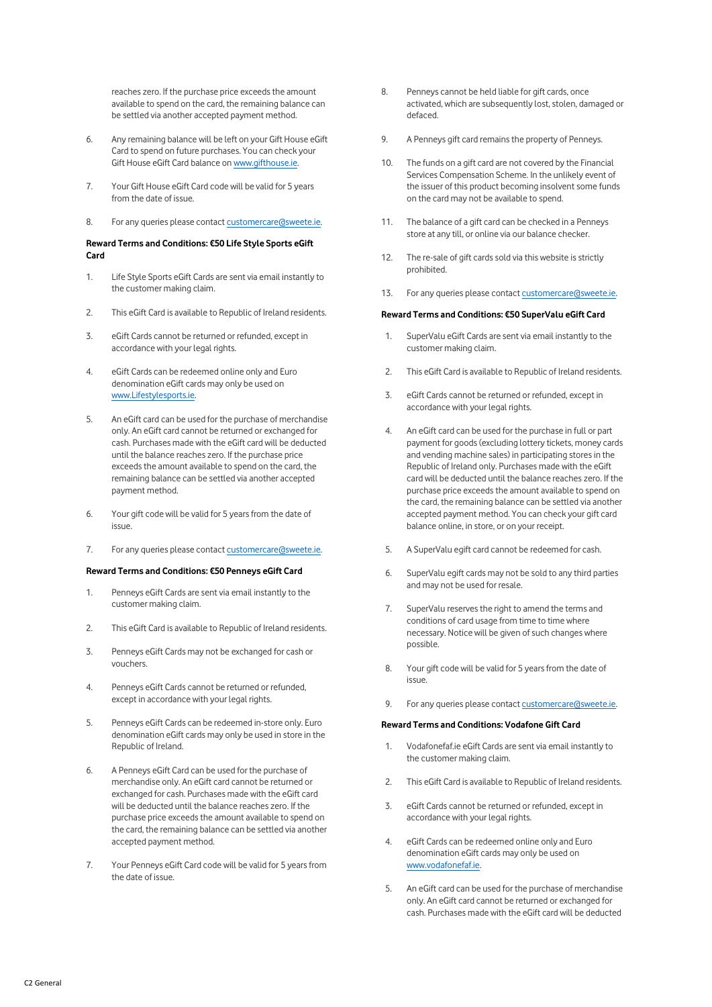reaches zero. If the purchase price exceeds the amount available to spend on the card, the remaining balance can be settled via another accepted payment method.

- 6. Any remaining balance will be left on your Gift House eGift Card to spend on future purchases. You can check your Gift House eGift Card balance o[n www.gifthouse.ie.](http://www.gifthouse.ie/)
- 7. Your Gift House eGift Card code will be valid for 5 years from the date of issue.
- 8. For any queries please contact customercare as weete.ie.

# **Reward Terms and Conditions: €50 Life Style Sports eGift Card**

- 1. Life Style Sports eGift Cards are sent via email instantly to the customer making claim.
- 2. This eGift Card is available to Republic of Ireland residents.
- 3. eGift Cards cannot be returned or refunded, except in accordance with your legal rights.
- 4. eGift Cards can be redeemed online only and Euro denomination eGift cards may only be used on [www.Lifestylesports.ie.](http://www.lifestylesports.ie/)
- 5. An eGift card can be used for the purchase of merchandise only. An eGift card cannot be returned or exchanged for cash. Purchases made with the eGift card will be deducted until the balance reaches zero. If the purchase price exceeds the amount available to spend on the card, the remaining balance can be settled via another accepted payment method.
- 6. Your gift code will be valid for 5 years from the date of issue.
- 7. For any queries please contac[t customercare@sweete.ie.](mailto:customercare@sweete.ie)

# **Reward Terms and Conditions: €50 Penneys eGift Card**

- 1. Penneys eGift Cards are sent via email instantly to the customer making claim.
- 2. This eGift Card is available to Republic of Ireland residents.
- 3. Penneys eGift Cards may not be exchanged for cash or vouchers.
- 4. Penneys eGift Cards cannot be returned or refunded, except in accordance with your legal rights.
- 5. Penneys eGift Cards can be redeemed in-store only. Euro denomination eGift cards may only be used in store in the Republic of Ireland.
- 6. A Penneys eGift Card can be used for the purchase of merchandise only. An eGift card cannot be returned or exchanged for cash. Purchases made with the eGift card will be deducted until the balance reaches zero. If the purchase price exceeds the amount available to spend on the card, the remaining balance can be settled via another accepted payment method.
- 7. Your Penneys eGift Card code will be valid for 5 years from the date of issue.
- 8. Penneys cannot be held liable for gift cards, once activated, which are subsequently lost, stolen, damaged or defaced.
- 9. A Penneys gift card remains the property of Penneys.
- 10. The funds on a gift card are not covered by the Financial Services Compensation Scheme. In the unlikely event of the issuer of this product becoming insolvent some funds on the card may not be available to spend.
- 11. The balance of a gift card can be checked in a Penneys store at any till, or online via our balance checker.
- 12. The re-sale of gift cards sold via this website is strictly prohibited.
- 13. For any queries please contac[t customercare@sweete.ie.](mailto:customercare@sweete.ie)

### **Reward Terms and Conditions: €50 SuperValu eGift Card**

- 1. SuperValu eGift Cards are sent via email instantly to the customer making claim.
- 2. This eGift Card is available to Republic of Ireland residents.
- 3. eGift Cards cannot be returned or refunded, except in accordance with your legal rights.
- 4. An eGift card can be used for the purchase in full or part payment for goods (excluding lottery tickets, money cards and vending machine sales) in participating stores in the Republic of Ireland only. Purchases made with the eGift card will be deducted until the balance reaches zero. If the purchase price exceeds the amount available to spend on the card, the remaining balance can be settled via another accepted payment method. You can check your gift card balance online, in store, or on your receipt.
- 5. A SuperValu egift card cannot be redeemed for cash.
- 6. SuperValu egift cards may not be sold to any third parties and may not be used for resale.
- 7. SuperValu reserves the right to amend the terms and conditions of card usage from time to time where necessary. Notice will be given of such changes where possible.
- 8. Your gift code will be valid for 5 years from the date of issue.
- 9. For any queries please contact customercare (dsweete.ie.

# **Reward Terms and Conditions: Vodafone Gift Card**

- 1. Vodafonefaf.ie eGift Cards are sent via email instantly to the customer making claim.
- 2. This eGift Card is available to Republic of Ireland residents.
- 3. eGift Cards cannot be returned or refunded, except in accordance with your legal rights.
- 4. eGift Cards can be redeemed online only and Euro denomination eGift cards may only be used on [www.vodafonefaf.ie.](http://www.vodafonefaf.ie/)
- 5. An eGift card can be used for the purchase of merchandise only. An eGift card cannot be returned or exchanged for cash. Purchases made with the eGift card will be deducted